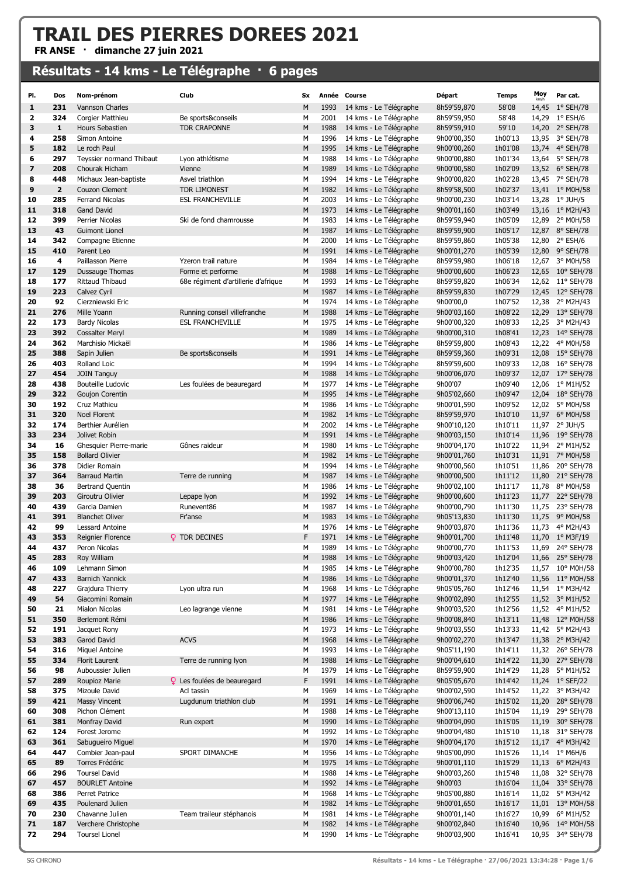## TRAIL DES PIERRES DOREES 2021

FR ANSE · dimanche 27 juin 2021

## Résultats - 14 kms - Le Télégraphe · 6 pages

| PI.                           | Dos            | Nom-prénom                                     | Club                                   | Sx     |              | Année Course                                     | Départ                     | <b>Temps</b>       | Moy   | Par cat.                             |
|-------------------------------|----------------|------------------------------------------------|----------------------------------------|--------|--------------|--------------------------------------------------|----------------------------|--------------------|-------|--------------------------------------|
| 1                             | 231            | Vannson Charles                                |                                        | M      | 1993         | 14 kms - Le Télégraphe                           | 8h59'59,870                | 58'08              |       | 14,45 1° SEH/78                      |
| 2                             | 324            | Corgier Matthieu                               | Be sports&conseils                     | м      | 2001         | 14 kms - Le Télégraphe                           | 8h59'59,950                | 58'48              |       | 14,29 1° ESH/6                       |
| 3                             | 1              | Hours Sebastien                                | TDR CRAPONNE                           | M      | 1988         | 14 kms - Le Télégraphe                           | 8h59'59,910                | 59'10              |       | 14,20 2° SEH/78                      |
| 4                             | 258            | Simon Antoine                                  |                                        | М      | 1996         | 14 kms - Le Télégraphe                           | 9h00'00,350                | 1h00'13            |       | 13,95 3° SEH/78                      |
| 5                             | 182            | Le roch Paul                                   |                                        | M      | 1995         | 14 kms - Le Télégraphe                           | 9h00'00,260                | 1h01'08            |       | 13,74 4° SEH/78                      |
| 6                             | 297            | Teyssier normand Thibaut                       | Lyon athlétisme                        | м      | 1988         | 14 kms - Le Télégraphe                           | 9h00'00,880                | 1h01'34            |       | 13,64 5° SEH/78                      |
| $\overline{\phantom{a}}$<br>8 | 208<br>448     | Chourak Hicham                                 | Vienne                                 | M<br>М | 1989<br>1994 | 14 kms - Le Télégraphe                           | 9h00'00,580                | 1h02'09            |       | 13,52 6° SEH/78                      |
| 9                             | $\overline{2}$ | Michaux Jean-baptiste<br>Couzon Clement        | Asvel triathlon<br><b>TDR LIMONEST</b> | M      | 1982         | 14 kms - Le Télégraphe<br>14 kms - Le Télégraphe | 9h00'00,820<br>8h59'58,500 | 1h02'28<br>1h02'37 |       | 13,45 7° SEH/78<br>13,41 1° M0H/58   |
| 10                            | 285            | Ferrand Nicolas                                | <b>ESL FRANCHEVILLE</b>                | М      | 2003         | 14 kms - Le Télégraphe                           | 9h00'00,230                | 1h03'14            |       | 13,28 1° JUH/5                       |
| 11                            | 318            | <b>Gand David</b>                              |                                        | M      | 1973         | 14 kms - Le Télégraphe                           | 9h00'01,160                | 1h03'49            |       | 13,16 1° M2H/43                      |
| 12                            | 399            | Perrier Nicolas                                | Ski de fond chamrousse                 | М      | 1983         | 14 kms - Le Télégraphe                           | 8h59'59,940                | 1h05'09            |       | 12,89 2° M0H/58                      |
| 13                            | 43             | <b>Guimont Lionel</b>                          |                                        | M      | 1987         | 14 kms - Le Télégraphe                           | 8h59'59,900                | 1h05'17            |       | 12,87 8° SEH/78                      |
| 14                            | 342            | Compagne Etienne                               |                                        | М      | 2000         | 14 kms - Le Télégraphe                           | 8h59'59,860                | 1h05'38            |       | 12,80 2° ESH/6                       |
| 15                            | 410            | Parent Leo                                     |                                        | M      | 1991         | 14 kms - Le Télégraphe                           | 9h00'01,270                | 1h05'39            |       | 12,80 9° SEH/78                      |
| 16                            | 4              | Paillasson Pierre                              | Yzeron trail nature                    | М      | 1984         | 14 kms - Le Télégraphe                           | 8h59'59,980                | 1h06'18            | 12,67 | 3° M0H/58                            |
| 17                            | 129            | Dussauge Thomas                                | Forme et performe                      | M      | 1988         | 14 kms - Le Télégraphe                           | 9h00'00,600                | 1h06'23            |       | 12,65 10° SEH/78                     |
| 18                            | 177            | Rittaud Thibaud                                | 68e régiment d'artillerie d'afrique    | м      | 1993         | 14 kms - Le Télégraphe                           | 8h59'59,820                | 1h06'34            |       | 12,62 11° SEH/78                     |
| 19                            | 223            | Calvez Cyril                                   |                                        | M      | 1987         | 14 kms - Le Télégraphe                           | 8h59'59,830                | 1h07'29            |       | 12,45 12° SEH/78                     |
| 20                            | 92             | Cierzniewski Eric                              |                                        | М      | 1974         | 14 kms - Le Télégraphe                           | 9h00'00,0                  | 1h07'52            |       | 12,38 2° M2H/43                      |
| 21                            | 276            | Mille Yoann                                    | Running conseil villefranche           | M      | 1988         | 14 kms - Le Télégraphe<br>14 kms - Le Télégraphe | 9h00'03,160<br>9h00'00,320 | 1h08'22            |       | 12,29 13° SEH/78                     |
| 22<br>23                      | 173<br>392     | <b>Bardy Nicolas</b><br><b>Cossalter Meryl</b> | <b>ESL FRANCHEVILLE</b>                | м<br>M | 1975<br>1989 | 14 kms - Le Télégraphe                           | 9h00'00,310                | 1h08'33<br>1h08'41 |       | 12,25 3° M2H/43<br>12,23 14° SEH/78  |
| 24                            | 362            | Marchisio Mickaël                              |                                        | м      | 1986         | 14 kms - Le Télégraphe                           | 8h59'59,800                | 1h08'43            |       | 12,22 4° M0H/58                      |
| 25                            | 388            | Sapin Julien                                   | Be sports&conseils                     | M      | 1991         | 14 kms - Le Télégraphe                           | 8h59'59,360                | 1h09'31            |       | 12,08 15° SEH/78                     |
| 26                            | 403            | Rolland Loic                                   |                                        | М      | 1994         | 14 kms - Le Télégraphe                           | 8h59'59,600                | 1h09'33            |       | 12,08 16° SEH/78                     |
| 27                            | 454            | <b>JOIN Tanguy</b>                             |                                        | M      | 1988         | 14 kms - Le Télégraphe                           | 9h00'06,070                | 1h09'37            |       | 12,07 17° SEH/78                     |
| 28                            | 438            | Bouteille Ludovic                              | Les foulées de beauregard              | М      | 1977         | 14 kms - Le Télégraphe                           | 9h00'07                    | 1h09'40            |       | 12,06 1° M1H/52                      |
| 29                            | 322            | Goujon Corentin                                |                                        | M      | 1995         | 14 kms - Le Télégraphe                           | 9h05'02,660                | 1h09'47            |       | 12,04 18° SEH/78                     |
| 30                            | 192            | Cruz Mathieu                                   |                                        | М      | 1986         | 14 kms - Le Télégraphe                           | 9h00'01,590                | 1h09'52            | 12,02 | 5° M0H/58                            |
| 31                            | 320            | Noel Florent                                   |                                        | M      | 1982         | 14 kms - Le Télégraphe                           | 8h59'59,970                | 1h10'10            |       | 11,97 6° M0H/58                      |
| 32                            | 174            | Berthier Aurélien                              |                                        | М      | 2002         | 14 kms - Le Télégraphe                           | 9h00'10,120                | 1h10'11            | 11,97 | $2^{\circ}$ JUH/5                    |
| 33                            | 234            | Jolivet Robin                                  |                                        | M      | 1991         | 14 kms - Le Télégraphe                           | 9h00'03,150                | 1h10'14            |       | 11,96 19° SEH/78                     |
| 34                            | 16             | Ghesquier Pierre-marie                         | Gônes raideur                          | М      | 1980         | 14 kms - Le Télégraphe                           | 9h00'04,170                | 1h10'22            |       | 11,94 2° M1H/52                      |
| 35                            | 158            | <b>Bollard Olivier</b>                         |                                        | M      | 1982<br>1994 | 14 kms - Le Télégraphe                           | 9h00'01,760                | 1h10'31            |       | 11,91 7° M0H/58                      |
| 36<br>37                      | 378<br>364     | Didier Romain<br><b>Barraud Martin</b>         | Terre de running                       | М<br>M | 1987         | 14 kms - Le Télégraphe<br>14 kms - Le Télégraphe | 9h00'00,560<br>9h00'00,500 | 1h10'51<br>1h11'12 |       | 11,86 20° SEH/78<br>11,80 21° SEH/78 |
| 38                            | 36             | Bertrand Quentin                               |                                        | м      | 1986         | 14 kms - Le Télégraphe                           | 9h00'02,100                | 1h11'17            | 11,78 | 8° M0H/58                            |
| 39                            | 203            | Giroutru Olivier                               | Lepape Iyon                            | M      | 1992         | 14 kms - Le Télégraphe                           | 9h00'00,600                | 1h11'23            | 11,77 | 22° SEH/78                           |
| 40                            | 439            | Garcia Damien                                  | Runevent86                             | М      | 1987         | 14 kms - Le Télégraphe                           | 9h00'00,790                | 1h11'30            | 11,75 | 23° SEH/78                           |
| 41                            | 391            | <b>Blanchet Oliver</b>                         | Fr'anse                                | M      | 1983         | 14 kms - Le Télégraphe                           | 9h05'13,830                | 1h11'30            |       | 11,75 9° M0H/58                      |
| 42                            | 99             | Lessard Antoine                                |                                        | М      | 1976         | 14 kms - Le Télégraphe                           | 9h00'03,870                | 1h11'36            |       | 11,73 4° M2H/43                      |
| 43                            | 353            | Reignier Florence                              | <b>Q</b> TDR DECINES                   | F      | 1971         | 14 kms - Le Télégraphe                           | 9h00'01,700                | 1h11'48            |       | 11,70 1° M3F/19                      |
| 44                            | 437            | Peron Nicolas                                  |                                        | М      | 1989         | 14 kms - Le Télégraphe                           | 9h00'00,770                | 1h11'53            |       | 11.69 24° SEH/78                     |
| 45                            | 283            | Roy William                                    |                                        | M      | 1988         | 14 kms - Le Télégraphe                           | 9h00'03,420                | 1h12'04            |       | 11,66 25° SEH/78                     |
| 46                            | 109            | Lehmann Simon                                  |                                        | М      | 1985         | 14 kms - Le Télégraphe                           | 9h00'00,780                | 1h12'35            |       | 11,57 10° M0H/58                     |
| 47                            | 433            | <b>Barnich Yannick</b>                         |                                        | M      | 1986         | 14 kms - Le Télégraphe                           | 9h00'01,370                | 1h12'40            |       | 11,56 11° M0H/58                     |
| 48<br>49                      | 227<br>54      | Grajdura Thierry                               | Lyon ultra run                         | М<br>M | 1968<br>1977 | 14 kms - Le Télégraphe<br>14 kms - Le Télégraphe | 9h05'05,760<br>9h00'02,890 | 1h12'46<br>1h12'55 |       | 11,54 1° M3H/42<br>11,52 3° M1H/52   |
| 50                            | 21             | Giacomini Romain<br>Mialon Nicolas             | Leo lagrange vienne                    | М      | 1981         | 14 kms - Le Télégraphe                           | 9h00'03,520                | 1h12'56            |       | 11,52 4° M1H/52                      |
| 51                            | 350            | Berlemont Rémi                                 |                                        | M      | 1986         | 14 kms - Le Télégraphe                           | 9h00'08,840                | 1h13'11            |       | 11,48 12° M0H/58                     |
| 52                            | 191            | Jacquet Rony                                   |                                        | М      | 1973         | 14 kms - Le Télégraphe                           | 9h00'03,550                | 1h13'33            |       | 11,42 5° M2H/43                      |
| 53                            | 383            | Garod David                                    | <b>ACVS</b>                            | M      | 1968         | 14 kms - Le Télégraphe                           | 9h00'02,270                | 1h13'47            |       | 11,38 2° M3H/42                      |
| 54                            | 316            | <b>Miquel Antoine</b>                          |                                        | М      | 1993         | 14 kms - Le Télégraphe                           | 9h05'11,190                | 1h14'11            |       | 11,32 26° SEH/78                     |
| 55                            | 334            | <b>Florit Laurent</b>                          | Terre de running lyon                  | M      | 1988         | 14 kms - Le Télégraphe                           | 9h00'04,610                | 1h14'22            |       | 11,30 27° SEH/78                     |
| 56                            | 98             | Auboussier Julien                              |                                        | М      | 1979         | 14 kms - Le Télégraphe                           | 8h59'59,900                | 1h14'29            |       | 11,28 5° M1H/52                      |
| 57                            | 289            | Roupioz Marie                                  | <b>Q</b> Les foulées de beauregard     | F      | 1991         | 14 kms - Le Télégraphe                           | 9h05'05,670                | 1h14'42            |       | 11,24 1° SEF/22                      |
| 58                            | 375            | Mizoule David                                  | Acl tassin                             | М      | 1969         | 14 kms - Le Télégraphe                           | 9h00'02,590                | 1h14'52            |       | 11,22 3° M3H/42                      |
| 59                            | 421            | <b>Massy Vincent</b>                           | Lugdunum triathlon club                | M      | 1991         | 14 kms - Le Télégraphe                           | 9h00'06,740                | 1h15'02            |       | 11,20 28° SEH/78                     |
| 60<br>61                      | 308<br>381     | Pichon Clément<br>Monfray David                | Run expert                             | М<br>M | 1988<br>1990 | 14 kms - Le Télégraphe<br>14 kms - Le Télégraphe | 9h00'13,110<br>9h00'04,090 | 1h15'04<br>1h15'05 |       | 11,19 29° SEH/78<br>11,19 30° SEH/78 |
| 62                            | 124            | Forest Jerome                                  |                                        | М      | 1992         | 14 kms - Le Télégraphe                           | 9h00'04,480                | 1h15'10            |       | 11,18 31° SEH/78                     |
| 63                            | 361            | Sabugueiro Miguel                              |                                        | M      | 1970         | 14 kms - Le Télégraphe                           | 9h00'04,170                | 1h15'12            |       | 11,17 4° M3H/42                      |
| 64                            | 447            | Combier Jean-paul                              | SPORT DIMANCHE                         | М      | 1956         | 14 kms - Le Télégraphe                           | 9h05'00,090                | 1h15'26            |       | 11,14 1° M6H/6                       |
| 65                            | 89             | Torres Frédéric                                |                                        | M      | 1975         | 14 kms - Le Télégraphe                           | 9h00'01,110                | 1h15'29            |       | 11,13 6° M2H/43                      |
| 66                            | 296            | <b>Toursel David</b>                           |                                        | М      | 1988         | 14 kms - Le Télégraphe                           | 9h00'03,260                | 1h15'48            | 11,08 | 32° SEH/78                           |
| 67                            | 457            | <b>BOURLET Antoine</b>                         |                                        | M      | 1992         | 14 kms - Le Télégraphe                           | 9h00'03                    | 1h16'04            |       | 11,04 33° SEH/78                     |
| 68                            | 386            | Perret Patrice                                 |                                        | М      | 1968         | 14 kms - Le Télégraphe                           | 9h05'00,880                | 1h16'14            |       | 11,02 5° M3H/42                      |
| 69                            | 435            | Poulenard Julien                               |                                        | M      | 1982         | 14 kms - Le Télégraphe                           | 9h00'01,650                | 1h16'17            |       | 11,01 13° M0H/58                     |
| 70                            | 230            | Chavanne Julien                                | Team traileur stéphanois               | М      | 1981         | 14 kms - Le Télégraphe                           | 9h00'01,140                | 1h16'27            |       | 10,99 6° M1H/52                      |
| 71                            | 187            | Verchere Christophe                            |                                        | M      | 1982         | 14 kms - Le Télégraphe                           | 9h00'02,840                | 1h16'40            |       | 10,96 14° M0H/58                     |
| 72                            | 294            | <b>Toursel Lionel</b>                          |                                        | М      | 1990         | 14 kms - Le Télégraphe                           | 9h00'03,900                | 1h16'41            |       | 10,95 34° SEH/78                     |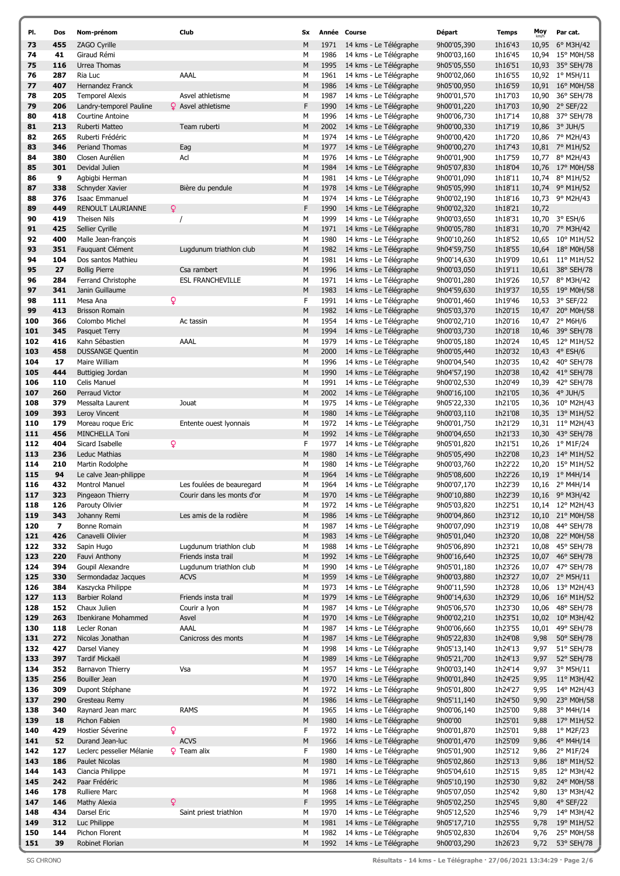| PI.        | Dos        | Nom-prénom                       | Club                       | <b>Sx</b> |      | Année Course           | Départ      | <b>Temps</b>       | Moy          | Par cat.           |
|------------|------------|----------------------------------|----------------------------|-----------|------|------------------------|-------------|--------------------|--------------|--------------------|
| 73         | 455        | ZAGO Cyrille                     |                            | M         | 1971 | 14 kms - Le Télégraphe | 9h00'05,390 | 1h16'43            | 10,95        | 6° M3H/42          |
| 74         | 41         | Giraud Rémi                      |                            | М         | 1986 | 14 kms - Le Télégraphe | 9h00'03,160 | 1h16'45            |              | 10,94 15° M0H/58   |
| 75         | 116        | Urrea Thomas                     |                            | M         | 1995 | 14 kms - Le Télégraphe | 9h05'05,550 | 1h16'51            | 10,93        | 35° SEH/78         |
|            |            |                                  | AAAL                       |           |      |                        |             |                    |              |                    |
| 76         | 287        | Ria Luc                          |                            | м         | 1961 | 14 kms - Le Télégraphe | 9h00'02,060 | 1h16'55            |              | 10,92 1° M5H/11    |
| 77         | 407        | Hernandez Franck                 |                            | M         | 1986 | 14 kms - Le Télégraphe | 9h05'00,950 | 1h16'59            |              | 10,91 16° M0H/58   |
| 78         | 205        | <b>Temporel Alexis</b>           | Asvel athletisme           | M         | 1987 | 14 kms - Le Télégraphe | 9h00'01,570 | 1h17'03            | 10,90        | 36° SEH/78         |
| 79         | 206        | Landry-temporel Pauline          | <b>♀</b> Asvel athletisme  | F         | 1990 | 14 kms - Le Télégraphe | 9h00'01,220 | 1h17'03            | 10,90        | $2°$ SEF/22        |
| 80         | 418        | Courtine Antoine                 |                            | М         | 1996 | 14 kms - Le Télégraphe | 9h00'06,730 | 1h17'14            | 10,88        | 37° SEH/78         |
| 81         | 213        | Ruberti Matteo                   | Team ruberti               | M         | 2002 | 14 kms - Le Télégraphe | 9h00'00,330 | 1h17'19            | 10,86        | $3^{\circ}$ JUH/5  |
| 82         | 265        | Ruberti Frédéric                 |                            | М         | 1974 | 14 kms - Le Télégraphe | 9h00'00,420 | 1h17'20            |              | 10,86 7° M2H/43    |
| 83         | 346        | <b>Periand Thomas</b>            | Eag                        | M         | 1977 | 14 kms - Le Télégraphe | 9h00'00,270 | 1h17'43            |              | 10,81 7° M1H/52    |
| 84         | 380        | Closen Aurélien                  | Acl                        | M         | 1976 | 14 kms - Le Télégraphe | 9h00'01,900 | 1h17'59            |              | 10,77 8° M2H/43    |
| 85         | 301        | Devidal Julien                   |                            | M         | 1984 | 14 kms - Le Télégraphe | 9h05'07,830 | 1h18'04            |              | 10,76 17° M0H/58   |
| 86         | 9          | Agbigbi Herman                   |                            | М         | 1981 | 14 kms - Le Télégraphe | 9h00'01,090 | 1h18'11            | 10,74        | 8° M1H/52          |
| 87         | 338        | Schnyder Xavier                  | Bière du pendule           | M         | 1978 | 14 kms - Le Télégraphe | 9h05'05,990 | 1h18'11            |              | 10,74 9° M1H/52    |
| 88         | 376        | Isaac Emmanuel                   |                            | М         | 1974 | 14 kms - Le Télégraphe | 9h00'02,190 | 1h18'16            |              | 10,73 9° M2H/43    |
| 89         | 449        | RENOULT LAURIANNE                | Q                          | F         | 1990 | 14 kms - Le Télégraphe | 9h00'02,320 | 1h18'21            | 10,72        |                    |
| 90         | 419        | Theisen Nils                     |                            | М         | 1999 | 14 kms - Le Télégraphe | 9h00'03,650 | 1h18'31            |              | 10,70 3° ESH/6     |
| 91         | 425        | Sellier Cyrille                  |                            | M         | 1971 | 14 kms - Le Télégraphe | 9h00'05,780 | 1h18'31            |              | 10,70 7° M3H/42    |
| 92         | 400        | Malle Jean-françois              |                            | М         | 1980 | 14 kms - Le Télégraphe | 9h00'10,260 | 1h18'52            | 10,65        | 10° M1H/52         |
| 93         | 351        | Fauquant Clément                 | Lugdunum triathlon club    | M         | 1982 | 14 kms - Le Télégraphe | 9h04'59,750 | 1h18'55            |              | 10,64 18° M0H/58   |
| 94         | 104        | Dos santos Mathieu               |                            | М         | 1981 | 14 kms - Le Télégraphe | 9h00'14,630 | 1h19'09            |              | 10,61 11° M1H/52   |
| 95         |            |                                  |                            |           |      |                        |             |                    |              | 10,61 38° SEH/78   |
|            | 27         | <b>Bollig Pierre</b>             | Csa rambert                | M         | 1996 | 14 kms - Le Télégraphe | 9h00'03,050 | 1h19'11            |              |                    |
| 96         | 284        | Ferrand Christophe               | <b>ESL FRANCHEVILLE</b>    | М         | 1971 | 14 kms - Le Télégraphe | 9h00'01,280 | 1h19'26            |              | 10,57 8° M3H/42    |
| 97         | 341        | Janin Guillaume                  |                            | M         | 1983 | 14 kms - Le Télégraphe | 9h04'59,630 | 1h19'37            |              | 10,55 19° M0H/58   |
| 98         | 111        | Mesa Ana                         | Q                          | F         | 1991 | 14 kms - Le Télégraphe | 9h00'01,460 | 1h19'46            |              | 10,53 3° SEF/22    |
| 99         | 413        | <b>Brisson Romain</b>            |                            | M         | 1982 | 14 kms - Le Télégraphe | 9h05'03,370 | 1h20'15            |              | 10,47 20° M0H/58   |
| 100        | 366        | Colombo Michel                   | Ac tassin                  | M         | 1954 | 14 kms - Le Télégraphe | 9h00'02,710 | 1h20'16            | 10,47        | $2^{\circ}$ M6H/6  |
| 101        | 345        | Pasquet Terry                    |                            | M         | 1994 | 14 kms - Le Télégraphe | 9h00'03,730 | 1h20'18            | 10,46        | 39° SEH/78         |
| 102        | 416        | Kahn Sébastien                   | AAAL                       | M         | 1979 | 14 kms - Le Télégraphe | 9h00'05,180 | 1h20'24            |              | 10,45 12° M1H/52   |
| 103        | 458        | <b>DUSSANGE Quentin</b>          |                            | M         | 2000 | 14 kms - Le Télégraphe | 9h00'05,440 | 1h20'32            | 10,43        | $4^{\circ}$ ESH/6  |
| 104        | 17         | Maire William                    |                            | М         | 1996 | 14 kms - Le Télégraphe | 9h00'04,540 | 1h20'35            | 10,42        | 40° SEH/78         |
| 105        | 444        | Buttigieg Jordan                 |                            | M         | 1990 | 14 kms - Le Télégraphe | 9h04'57,190 | 1h20'38            |              | 10,42 41° SEH/78   |
| 106        | 110        | Celis Manuel                     |                            | M         | 1991 | 14 kms - Le Télégraphe | 9h00'02,530 | 1h20'49            | 10,39        | 42° SEH/78         |
| 107        | 260        | Perraud Victor                   |                            | M         | 2002 | 14 kms - Le Télégraphe | 9h00'16,100 | 1h21'05            |              | 10,36 4° JUH/5     |
| 108        | 379        | Messalta Laurent                 | Jouat                      | М         | 1975 | 14 kms - Le Télégraphe | 9h05'22,330 | 1h21'05            | 10,36        | 10° M2H/43         |
| 109        | 393        | Leroy Vincent                    |                            | M         | 1980 | 14 kms - Le Télégraphe | 9h00'03,110 | 1h21'08            |              | 10,35 13° M1H/52   |
| 110        | 179        | Moreau roque Eric                | Entente ouest lyonnais     | М         | 1972 | 14 kms - Le Télégraphe | 9h00'01,750 | 1h21'29            |              | 10,31 11° M2H/43   |
| 111        | 456        | MINCHELLA Toni                   |                            | M         | 1992 | 14 kms - Le Télégraphe | 9h00'04,650 | 1h21'33            | 10,30        | 43° SEH/78         |
| 112        | 404        | Sicard Isabelle                  | Q                          | F         | 1977 | 14 kms - Le Télégraphe | 9h05'01,820 | 1h21'51            |              | 10,26 1° M1F/24    |
| 113        | 236        | Leduc Mathias                    |                            | M         | 1980 | 14 kms - Le Télégraphe | 9h05'05,490 | 1h22'08            |              | 10,23 14° M1H/52   |
| 114        | 210        |                                  |                            | M         | 1980 |                        |             | 1h22'22            |              | 15° M1H/52         |
|            |            | Martin Rodolphe                  |                            |           |      | 14 kms - Le Télégraphe | 9h00'03,760 |                    | 10,20        |                    |
| 115        | 94         | Le calve Jean-philippe           |                            | M         | 1964 | 14 kms - Le Télégraphe | 9h05'08,600 | 1h22'26            | 10,19        | $1^{\circ}$ M4H/14 |
| 116        | 432        | Montrol Manuel                   | Les foulées de beauregard  | М         | 1964 | 14 kms - Le Télégraphe | 9h00'07,170 | 1h22'39            |              | 10,16 2° M4H/14    |
| 117        | 323        | Pingeaon Thierry                 | Courir dans les monts d'or | M         | 1970 | 14 kms - Le Télégraphe | 9h00'10,880 | 1h22'39            |              | 10,16 9° M3H/42    |
| 118        | 126        | Parouty Olivier                  |                            | М         | 1972 | 14 kms - Le Télégraphe | 9h05'03,820 | 1h22'51            |              | 10,14 12° M2H/43   |
| 119        | 343        | Johanny Remi                     | Les amis de la rodière     | M         | 1986 | 14 kms - Le Télégraphe | 9h00'04,860 | 1h23'12            | 10,10        | 21° M0H/58         |
| 120        | 7          | Bonne Romain                     |                            | М         | 1987 | 14 kms - Le Télégraphe | 9h00'07,090 | 1h23'19            | 10,08        | 44° SEH/78         |
| 121        | 426        | Canavelli Olivier                |                            | M         | 1983 | 14 kms - Le Télégraphe | 9h05'01,040 | 1h23'20            |              | 10,08 22° M0H/58   |
| 122        | 332        | Sapin Hugo                       | Lugdunum triathlon club    | М         | 1988 | 14 kms - Le Télégraphe | 9h05'06,890 | 1h23'21            | 10,08        | 45° SEH/78         |
| 123        | 220        | Fauvi Anthony                    | Friends insta trail        | M         | 1992 | 14 kms - Le Télégraphe | 9h00'16,640 | 1h23'25            | 10,07        | 46° SEH/78         |
| 124        | 394        | Goupil Alexandre                 | Lugdunum triathlon club    | М         | 1990 | 14 kms - Le Télégraphe | 9h05'01,180 | 1h23'26            | 10,07        | 47° SEH/78         |
| 125        | 330        | Sermondadaz Jacques              | <b>ACVS</b>                | М         | 1959 | 14 kms - Le Télégraphe | 9h00'03,880 | 1h23'27            | 10,07        | 2° M5H/11          |
| 126        | 384        | Kaszycka Philippe                |                            | М         | 1973 | 14 kms - Le Télégraphe | 9h00'11,590 | 1h23'28            | 10,06        | 13° M2H/43         |
| 127        | 113        | <b>Barbier Roland</b>            | Friends insta trail        | М         | 1979 | 14 kms - Le Télégraphe | 9h00'14,630 | 1h23'29            | 10,06        | 16° M1H/52         |
| 128        | 152        | Chaux Julien                     | Courir a Iyon              | М         | 1987 | 14 kms - Le Télégraphe | 9h05'06,570 | 1h23'30            | 10,06        | 48° SEH/78         |
| 129        | 263        | Ibenkirane Mohammed              | Asvel                      | М         | 1970 | 14 kms - Le Télégraphe | 9h00'02,210 | 1h23'51            | 10,02        | 10° M3H/42         |
| 130        | 118        | Lecler Ronan                     | AAAL                       | М         | 1987 | 14 kms - Le Télégraphe | 9h00'06,660 | 1h23'55            | 10,01        | 49° SEH/78         |
| 131        | 272        | Nicolas Jonathan                 | Canicross des monts        | M         | 1987 | 14 kms - Le Télégraphe | 9h05'22,830 | 1h24'08            | 9,98         | 50° SEH/78         |
| 132        | 427        | Darsel Vianey                    |                            | М         | 1998 | 14 kms - Le Télégraphe | 9h05'13,140 | 1h24'13            | 9,97         | 51° SEH/78         |
| 133        | 397        | Tardif Mickaël                   |                            | М         | 1989 | 14 kms - Le Télégraphe | 9h05'21,700 | 1h24'13            | 9,97         | 52° SEH/78         |
| 134        | 352        | Barnavon Thierry                 | Vsa                        | М         | 1957 | 14 kms - Le Télégraphe | 9h00'03,140 | 1h24'14            | 9,97         | 3° M5H/11          |
| 135        | 256        | Bouiller Jean                    |                            | М         | 1970 | 14 kms - Le Télégraphe | 9h00'01,840 | 1h24'25            | 9,95         | 11° M3H/42         |
|            |            |                                  |                            | М         | 1972 | 14 kms - Le Télégraphe | 9h05'01,800 |                    |              | 14° M2H/43         |
| 136<br>137 | 309<br>290 | Dupont Stéphane<br>Gresteau Remy |                            | М         | 1986 | 14 kms - Le Télégraphe | 9h05'11,140 | 1h24'27<br>1h24'50 | 9,95<br>9,90 | 23° M0H/58         |
|            |            |                                  |                            |           |      |                        |             |                    |              |                    |
| 138        | 340        | Raynard Jean marc                | <b>RAMS</b>                | М         | 1965 | 14 kms - Le Télégraphe | 9h00'06,140 | 1h25'00            | 9,88         | 3° M4H/14          |
| 139        | 18         | Pichon Fabien                    |                            | М         | 1980 | 14 kms - Le Télégraphe | 9h00'00     | 1h25'01            | 9,88         | 17° M1H/52         |
| 140        | 429        | Hostier Séverine                 | Q                          | F         | 1972 | 14 kms - Le Télégraphe | 9h00'01,870 | 1h25'01            | 9,88         | 1° M2F/23          |
| 141        | 52         | Durand Jean-luc                  | <b>ACVS</b>                | M         | 1966 | 14 kms - Le Télégraphe | 9h00'01,470 | 1h25'09            | 9,86         | 4° M4H/14          |
| 142        | 127        | Leclerc pesselier Mélanie        | <b>9</b> Team alix         | F         | 1980 | 14 kms - Le Télégraphe | 9h05'01,900 | 1h25'12            | 9,86         | 2° M1F/24          |
| 143        | 186        | Paulet Nicolas                   |                            | М         | 1980 | 14 kms - Le Télégraphe | 9h05'02,860 | 1h25'13            | 9,86         | 18° M1H/52         |
| 144        | 143        | Ciancia Philippe                 |                            | М         | 1971 | 14 kms - Le Télégraphe | 9h05'04,610 | 1h25'15            | 9,85         | 12° M3H/42         |
| 145        | 242        | Paar Frédéric                    |                            | М         | 1986 | 14 kms - Le Télégraphe | 9h05'10,190 | 1h25'30            | 9,82         | 24° M0H/58         |
| 146        | 178        | Rulliere Marc                    |                            | М         | 1968 | 14 kms - Le Télégraphe | 9h05'07,050 | 1h25'42            | 9,80         | 13° M3H/42         |
| 147        | 146        | Mathy Alexia                     | Q                          | F         | 1995 | 14 kms - Le Télégraphe | 9h05'02,250 | 1h25'45            | 9,80         | 4° SEF/22          |
| 148        | 434        | Darsel Eric                      | Saint priest triathlon     | М         | 1970 | 14 kms - Le Télégraphe | 9h05'12,520 | 1h25'46            | 9,79         | 14° M3H/42         |
| 149        | 312        | Luc Philippe                     |                            | М         | 1981 | 14 kms - Le Télégraphe | 9h05'17,710 | 1h25'55            | 9,78         | 19° M1H/52         |
| 150        | 144        | Pichon Florent                   |                            | М         | 1982 | 14 kms - Le Télégraphe | 9h05'02,830 | 1h26'04            | 9,76         | 25° M0H/58         |
| 151        | 39         | Robinet Florian                  |                            | М         | 1992 | 14 kms - Le Télégraphe | 9h00'03,290 | 1h26'23            | 9,72         | 53° SEH/78         |
|            |            |                                  |                            |           |      |                        |             |                    |              |                    |

SG CHRONO Résultats - 14 kms - Le Télégraphe · 27/06/2021 13:34:29 · Page 2/6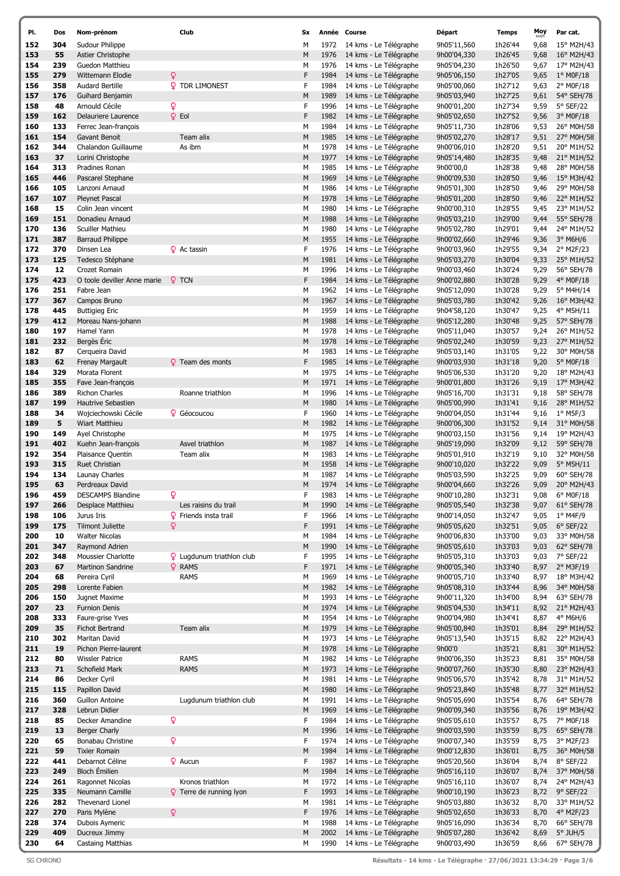| PI.        | Dos        | Nom-prénom                            | Club                             | <b>Sx</b> | Année        | Course                                           | Départ                     | <b>Temps</b>       | Moy          | Par cat.                 |
|------------|------------|---------------------------------------|----------------------------------|-----------|--------------|--------------------------------------------------|----------------------------|--------------------|--------------|--------------------------|
| 152        | 304        | Sudour Philippe                       |                                  | M         | 1972         | 14 kms - Le Télégraphe                           | 9h05'11,560                | 1h26'44            | 9,68         | 15° M2H/43               |
| 153        | 55         | Astier Christophe                     |                                  | M         | 1976         | 14 kms - Le Télégraphe                           | 9h00'04,330                | 1h26'45            | 9,68         | 16° M2H/43               |
| 154        | 239        | Guedon Matthieu                       |                                  | М         | 1976         | 14 kms - Le Télégraphe                           | 9h05'04,230                | 1h26'50            | 9,67         | 17° M2H/43               |
| 155        | 279        | Wittemann Elodie                      | ¥                                | F         | 1984         | 14 kms - Le Télégraphe                           | 9h05'06,150                | 1h27'05            | 9,65         | $1^{\circ}$ MOF/18       |
| 156        | 358        | <b>Audard Bertille</b>                | <b>Q</b> TDR LIMONEST            | F         | 1984         | 14 kms - Le Télégraphe                           | 9h05'00,060                | 1h27'12            | 9,63         | 2° M0F/18                |
| 157        | 176        | Guihard Benjamin                      |                                  | M         | 1989         | 14 kms - Le Télégraphe                           | 9h05'03,940                | 1h27'25            | 9,61         | 54° SEH/78               |
| 158        | 48         | Arnould Cécile                        | Q                                | F         | 1996         | 14 kms - Le Télégraphe                           | 9h00'01,200                | 1h27'34            | 9,59         | 5° SEF/22                |
| 159        | 162        | Delauriere Laurence                   | $Q$ Eol                          | F         | 1982         | 14 kms - Le Télégraphe                           | 9h05'02,650                | 1h27'52            | 9,56         | 3° M0F/18                |
| 160        | 133        | Ferrec Jean-françois                  |                                  | М         | 1984         | 14 kms - Le Télégraphe                           | 9h05'11,730                | 1h28'06            | 9,53         | 26° M0H/58               |
| 161        | 154        | Gavant Benoit                         | Team alix                        | M         | 1985         | 14 kms - Le Télégraphe                           | 9h05'02,270                | 1h28'17            | 9,51         | 27° M0H/58               |
| 162        | 344        | Chalandon Guillaume                   | As ibm                           | М         | 1978         | 14 kms - Le Télégraphe                           | 9h00'06,010                | 1h28'20            | 9,51         | 20° M1H/52               |
| 163        | 37         | Lorini Christophe                     |                                  | М         | 1977         | 14 kms - Le Télégraphe                           | 9h05'14,480                | 1h28'35            | 9,48         | 21° M1H/52               |
| 164        | 313        | Pradines Ronan                        |                                  | М         | 1985         | 14 kms - Le Télégraphe                           | 9h00'00,0                  | 1h28'38            | 9,48         | 28° M0H/58               |
| 165        | 446        | Pascarel Stephane                     |                                  | M         | 1969         | 14 kms - Le Télégraphe                           | 9h00'09,530                | 1h28'50            | 9,46         | 15° M3H/42               |
| 166        | 105        | Lanzoni Arnaud                        |                                  | М         | 1986         | 14 kms - Le Télégraphe                           | 9h05'01,300                | 1h28'50            | 9,46         | 29° M0H/58               |
| 167        | 107        | <b>Pleynet Pascal</b>                 |                                  | M         | 1978         | 14 kms - Le Télégraphe                           | 9h05'01,200                | 1h28'50            | 9,46         | 22° M1H/52               |
| 168        | 15         | Colin Jean vincent                    |                                  | M         | 1980         | 14 kms - Le Télégraphe                           | 9h00'00,310                | 1h28'55            | 9,45         | 23° M1H/52               |
| 169<br>170 | 151<br>136 | Donadieu Arnaud<br>Scuiller Mathieu   |                                  | M<br>M    | 1988<br>1980 | 14 kms - Le Télégraphe<br>14 kms - Le Télégraphe | 9h05'03,210<br>9h05'02,780 | 1h29'00<br>1h29'01 | 9,44         | 55° SEH/78               |
| 171        | 387        | <b>Barraud Philippe</b>               |                                  | М         | 1955         | 14 kms - Le Télégraphe                           | 9h00'02,660                | 1h29'46            | 9,44<br>9,36 | 24° M1H/52<br>$3°$ M6H/6 |
| 172        | 370        | Dinsen Lea                            | <b>Q</b> Ac tassin               | F         | 1976         | 14 kms - Le Télégraphe                           | 9h00'03,960                | 1h29'55            | 9,34         | 2° M2F/23                |
| 173        | 125        | Tedesco Stéphane                      |                                  | M         | 1981         | 14 kms - Le Télégraphe                           | 9h05'03,270                | 1h30'04            | 9,33         | 25° M1H/52               |
| 174        | 12         | Crozet Romain                         |                                  | М         | 1996         | 14 kms - Le Télégraphe                           | 9h00'03,460                | 1h30'24            | 9,29         | 56° SEH/78               |
| 175        | 423        | O toole deviller Anne marie           | $Q$ TCN                          | F         | 1984         | 14 kms - Le Télégraphe                           | 9h00'02,880                | 1h30'28            | 9,29         | 4° M0F/18                |
| 176        | 251        | Fabre Jean                            |                                  | М         | 1962         | 14 kms - Le Télégraphe                           | 9h05'12,090                | 1h30'28            | 9,29         | 5° M4H/14                |
| 177        | 367        | Campos Bruno                          |                                  | M         | 1967         | 14 kms - Le Télégraphe                           | 9h05'03,780                | 1h30'42            | 9,26         | 16° M3H/42               |
| 178        | 445        | <b>Buttigieg Eric</b>                 |                                  | М         | 1959         | 14 kms - Le Télégraphe                           | 9h04'58,120                | 1h30'47            | 9,25         | 4° M5H/11                |
| 179        | 412        | Moreau Nans-johann                    |                                  | M         | 1988         | 14 kms - Le Télégraphe                           | 9h05'12,280                | 1h30'48            | 9,25         | 57° SEH/78               |
| 180        | 197        | Hamel Yann                            |                                  | М         | 1978         | 14 kms - Le Télégraphe                           | 9h05'11,040                | 1h30'57            | 9,24         | 26° M1H/52               |
| 181        | 232        | Bergès Eric                           |                                  | M         | 1978         | 14 kms - Le Télégraphe                           | 9h05'02,240                | 1h30'59            | 9,23         | 27° M1H/52               |
| 182        | 87         | Cerqueira David                       |                                  | М         | 1983         | 14 kms - Le Télégraphe                           | 9h05'03,140                | 1h31'05            | 9,22         | 30° M0H/58               |
| 183        | 62         | Frenay Margault                       | <b>Q</b> Team des monts          | F         | 1985         | 14 kms - Le Télégraphe                           | 9h00'03,930                | 1h31'18            | 9,20         | 5° M0F/18                |
| 184        | 329        | Morata Florent                        |                                  | М         | 1975         | 14 kms - Le Télégraphe                           | 9h05'06,530                | 1h31'20            | 9,20         | 18° M2H/43               |
| 185        | 355        | Fave Jean-françois                    |                                  | М         | 1971         | 14 kms - Le Télégraphe                           | 9h00'01,800                | 1h31'26            | 9,19         | 17° M3H/42               |
| 186        | 389        | <b>Richon Charles</b>                 | Roanne triathlon                 | М         | 1996         | 14 kms - Le Télégraphe                           | 9h05'16,700                | 1h31'31            | 9,18         | 58° SEH/78               |
| 187        | 199        | Hautrive Sebastien                    |                                  | M         | 1980         | 14 kms - Le Télégraphe                           | 9h05'00,990                | 1h31'41            | 9,16         | 28° M1H/52               |
| 188        | 34         | Wojciechowski Cécile                  | <b>Q</b> Géocoucou               | F         | 1960         | 14 kms - Le Télégraphe                           | 9h00'04,050                | 1h31'44            | 9,16         | $1^{\circ}$ M5F/3        |
| 189        | 5          | Wiart Matthieu                        |                                  | M         | 1982         | 14 kms - Le Télégraphe                           | 9h00'06,300                | 1h31'52            | 9,14         | 31° M0H/58               |
| 190        | 149        | Ayel Christophe                       |                                  | M         | 1975         | 14 kms - Le Télégraphe                           | 9h00'03,150                | 1h31'56            | 9,14         | 19° M2H/43               |
| 191        | 402        | Kuehn Jean-françois                   | Asvel triathlon                  | M         | 1987         | 14 kms - Le Télégraphe                           | 9h05'19,090                | 1h32'09            | 9,12         | 59° SEH/78               |
| 192        | 354        | Plaisance Quentin                     | Team alix                        | М         | 1983         | 14 kms - Le Télégraphe                           | 9h05'01,910                | 1h32'19            | 9,10         | 32° M0H/58               |
| 193        | 315        | Ruet Christian                        |                                  | М         | 1958         | 14 kms - Le Télégraphe                           | 9h00'10,020                | 1h32'22            | 9,09         | 5° M5H/11                |
| 194        | 134        | Launay Charles                        |                                  | М         | 1987         | 14 kms - Le Télégraphe                           | 9h05'03,590                | 1h32'25            | 9,09         | 60° SEH/78               |
| 195        | 63         | Perdreaux David                       |                                  | M         | 1974         | 14 kms - Le Télégraphe                           | 9h00'04,660                | 1h32'26            | 9,09         | 20° M2H/43               |
| 196        | 459        | <b>DESCAMPS Blandine</b>              | ò                                | F         | 1983         | 14 kms - Le Télégraphe                           | 9h00'10,280                | 1h32'31            | 9,08         | 6° M0F/18                |
| 197        | 266        | Desplace Matthieu                     | Les raisins du trail             | M         | 1990         | 14 kms - Le Télégraphe                           | 9h05'05,540                | 1h32'38            | 9,07         | 61° SEH/78               |
| 198        | 106        | Jurus Iris                            | <b>Q</b> Friends insta trail     | F         | 1966         | 14 kms - Le Télégraphe                           | 9h00'14,050                | 1h32'47            | 9,05         | $1°$ M4F/9               |
| 199        | 175        | <b>Tilmont Juliette</b>               | Q                                | F         | 1991         | 14 kms - Le Télégraphe                           | 9h05'05,620                | 1h32'51            | 9,05         | $6°$ SEF/22              |
| 200        | 10         | <b>Walter Nicolas</b>                 |                                  | М         | 1984         | 14 kms - Le Télégraphe                           | 9h00'06,830                | 1h33'00            | 9,03         | 33° M0H/58               |
| 201        | 347        | Raymond Adrien                        |                                  | M         | 1990         | 14 kms - Le Télégraphe                           | 9h05'05,610                | 1h33'03            | 9,03         | 62° SEH/78               |
| 202        | 348        | Moussier Charlotte                    | <b>Q</b> Lugdunum triathlon club | F         | 1995         | 14 kms - Le Télégraphe                           | 9h05'05,310                | 1h33'03            | 9,03         | 7° SEF/22                |
| 203        | 67         | Martinon Sandrine                     | <b>Q</b> RAMS                    | F         | 1971         | 14 kms - Le Télégraphe                           | 9h00'05,340                | 1h33'40            | 8,97         | 2° M3F/19                |
| 204        | 68         | Pereira Cyril                         | RAMS                             | М         | 1969         | 14 kms - Le Télégraphe                           | 9h00'05,710                | 1h33'40            | 8,97         | 18° M3H/42               |
| 205        | 298<br>150 | Lorente Fabien                        |                                  | M<br>М    | 1982<br>1993 | 14 kms - Le Télégraphe<br>14 kms - Le Télégraphe | 9h05'08,310<br>9h00'11,320 | 1h33'44            | 8,96         | 34° M0H/58<br>63° SEH/78 |
| 206<br>207 | 23         | Jugnet Maxime<br><b>Furnion Denis</b> |                                  | М         | 1974         | 14 kms - Le Télégraphe                           | 9h05'04,530                | 1h34'00<br>1h34'11 | 8,94<br>8,92 | 21° M2H/43               |
| 208        | 333        | Faure-grise Yves                      |                                  | М         | 1954         | 14 kms - Le Télégraphe                           | 9h00'04,980                | 1h34'41            | 8,87         | 4° M6H/6                 |
| 209        | 35         | Fichot Bertrand                       | Team alix                        | M         | 1979         | 14 kms - Le Télégraphe                           | 9h05'00,840                | 1h35'01            | 8,84         | 29° M1H/52               |
| 210        | 302        | Maritan David                         |                                  | М         | 1973         | 14 kms - Le Télégraphe                           | 9h05'13,540                | 1h35'15            | 8,82         | 22° M2H/43               |
| 211        | 19         | Pichon Pierre-laurent                 |                                  | М         | 1978         | 14 kms - Le Télégraphe                           | 9h00'0                     | 1h35'21            | 8,81         | 30° M1H/52               |
| 212        | 80         | <b>Wissler Patrice</b>                | <b>RAMS</b>                      | М         | 1982         | 14 kms - Le Télégraphe                           | 9h00'06,350                | 1h35'23            | 8,81         | 35° M0H/58               |
| 213        | 71         | Schofield Mark                        | <b>RAMS</b>                      | М         | 1973         | 14 kms - Le Télégraphe                           | 9h00'07,760                | 1h35'30            | 8,80         | 23° M2H/43               |
| 214        | 86         | Decker Cyril                          |                                  | М         | 1981         | 14 kms - Le Télégraphe                           | 9h05'06,570                | 1h35'42            | 8,78         | 31° M1H/52               |
| 215        | 115        | Papillon David                        |                                  | M         | 1980         | 14 kms - Le Télégraphe                           | 9h05'23,840                | 1h35'48            | 8,77         | 32° M1H/52               |
| 216        | 360        | <b>Guillon Antoine</b>                | Lugdunum triathlon club          | М         | 1991         | 14 kms - Le Télégraphe                           | 9h05'05,690                | 1h35'54            | 8,76         | 64° SEH/78               |
| 217        | 328        | Lebrun Didier                         |                                  | М         | 1969         | 14 kms - Le Télégraphe                           | 9h00'09,340                | 1h35'56            | 8,76         | 19° M3H/42               |
| 218        | 85         | Decker Amandine                       | ò                                | F         | 1984         | 14 kms - Le Télégraphe                           | 9h05'05,610                | 1h35'57            | 8,75         | 7° M0F/18                |
| 219        | 13         | Berger Charly                         |                                  | М         | 1996         | 14 kms - Le Télégraphe                           | 9h00'03,590                | 1h35'59            | 8,75         | 65° SEH/78               |
| 220        | 65         | Bonabau Christine                     | Q                                | F         | 1974         | 14 kms - Le Télégraphe                           | 9h00'07,340                | 1h35'59            | 8,75         | 3° M2F/23                |
| 221        | 59         | <b>Tixier Romain</b>                  |                                  | M         | 1984         | 14 kms - Le Télégraphe                           | 9h00'12,830                | 1h36'01            | 8,75         | 36° M0H/58               |
| 222        | 441        | Debarnot Céline                       | <b>Q</b> Aucun                   | F         | 1987         | 14 kms - Le Télégraphe                           | 9h05'20,560                | 1h36'04            | 8,74         | 8° SEF/22                |
| 223        | 249        | <b>Bloch Émilien</b>                  |                                  | М         | 1984         | 14 kms - Le Télégraphe                           | 9h05'16,110                | 1h36'07            | 8,74         | 37° M0H/58               |
| 224        | 261        | Ragonnet Nicolas                      | Kronos triathlon                 | М         | 1972         | 14 kms - Le Télégraphe                           | 9h05'16,110                | 1h36'07            | 8,74         | 24° M2H/43               |
| 225        | 335        | Neumann Camille                       | <b>Q</b> Terre de running lyon   | F         | 1993         | 14 kms - Le Télégraphe                           | 9h00'10,190                | 1h36'23            | 8,72         | 9° SEF/22                |
| 226        | 282        | Thevenard Lionel                      |                                  | М         | 1981         | 14 kms - Le Télégraphe                           | 9h05'03,880                | 1h36'32            | 8,70         | 33° M1H/52               |
| 227        | 270        | Paris Mylène                          | Q                                | F         | 1976         | 14 kms - Le Télégraphe                           | 9h05'02,650                | 1h36'33            | 8,70         | 4° M2F/23                |
| 228        | 374        | Dubois Aymeric                        |                                  | М         | 1988         | 14 kms - Le Télégraphe                           | 9h05'16,090                | 1h36'34            | 8,70         | 66° SEH/78               |
| 229        | 409        | Ducreux Jimmy                         |                                  | M         | 2002         | 14 kms - Le Télégraphe                           | 9h05'07,280                | 1h36'42            | 8,69         | $5^\circ$ JUH/5          |
| 230        | 64         | <b>Castaing Matthias</b>              |                                  | М         | 1990         | 14 kms - Le Télégraphe                           | 9h00'03,490                | 1h36'59            | 8,66         | 67° SEH/78               |

SG CHRONO Résultats - 14 kms - Le Télégraphe · 27/06/2021 13:34:29 · Page 3/6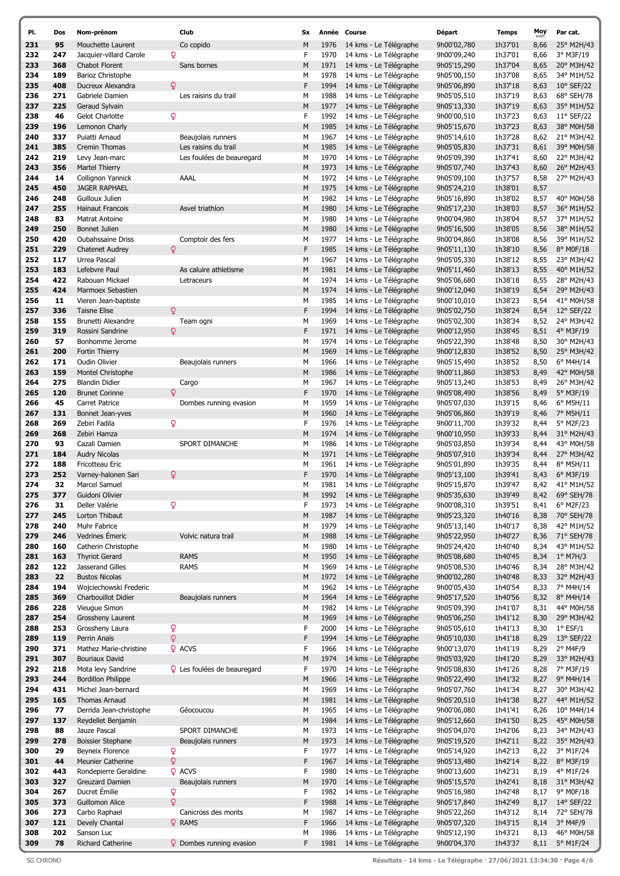| PI.        | Dos       | Nom-prénom                                | Club                               | Sx     | Année        | Course                                           | Départ                     | <b>Temps</b>       | Moy          | Par cat.                |
|------------|-----------|-------------------------------------------|------------------------------------|--------|--------------|--------------------------------------------------|----------------------------|--------------------|--------------|-------------------------|
| 231        | 95        | Mouchette Laurent                         | Co copido                          | M      | 1976         | 14 kms - Le Télégraphe                           | 9h00'02,780                | 1h37'01            | 8,66         | 25° M2H/43              |
| 232        | 247       | Q<br>Jacquier-villard Carole              |                                    | F      | 1970         | 14 kms - Le Télégraphe                           | 9h00'09,240                | 1h37'01            | 8,66         | 3° M3F/19               |
| 233        | 368       | <b>Chabot Florent</b>                     | Sans bornes                        | M      | 1971         | 14 kms - Le Télégraphe                           | 9h05'15,290                | 1h37'04            | 8,65         | 20° M3H/42              |
| 234        | 189       | Barioz Christophe                         |                                    | М      | 1978         | 14 kms - Le Télégraphe                           | 9h05'00,150                | 1h37'08            | 8,65         | 34° M1H/52              |
| 235        | 408       | Q<br>Ducreux Alexandra                    |                                    | F      | 1994         | 14 kms - Le Télégraphe                           | 9h05'06,890                | 1h37'18            | 8,63         | 10° SEF/22              |
| 236        | 271       | Gabriele Damien                           | Les raisins du trail               | М      | 1988         | 14 kms - Le Télégraphe                           | 9h05'05,510                | 1h37'19            | 8,63         | 68° SEH/78              |
| 237        | 225       | Geraud Sylvain                            |                                    | М      | 1977         | 14 kms - Le Télégraphe                           | 9h05'13,330                | 1h37'19            | 8,63         | 35° M1H/52              |
| 238        | 46        | ò<br>Gelot Charlotte                      |                                    | F      | 1992         | 14 kms - Le Télégraphe                           | 9h00'00,510                | 1h37'23            | 8,63         | $11^{\circ}$ SEF/22     |
| 239        | 196       | Lemonon Charly                            |                                    | М      | 1985         | 14 kms - Le Télégraphe                           | 9h05'15,670                | 1h37'23            | 8,63         | 38° M0H/58              |
| 240        | 337       | Puiatti Arnaud                            | Beaujolais runners                 | М      | 1967         | 14 kms - Le Télégraphe                           | 9h05'14,610                | 1h37'28            | 8,62         | 21° M3H/42              |
| 241        | 385       | Cremin Thomas                             | Les raisins du trail               | M      | 1985         | 14 kms - Le Télégraphe                           | 9h05'05,830                | 1h37'31            | 8,61         | 39° M0H/58              |
| 242        | 219       | Levy Jean-marc                            | Les foulées de beauregard          | М      | 1970         | 14 kms - Le Télégraphe                           | 9h05'09,390                | 1h37'41            | 8,60         | 22° M3H/42              |
| 243        | 356       | Martel Thierry                            |                                    | M      | 1973         | 14 kms - Le Télégraphe                           | 9h05'07,740                | 1h37'43            | 8,60         | 26° M2H/43              |
| 244        | 14        | Collignon Yannick                         | AAAL                               | М      | 1972         | 14 kms - Le Télégraphe                           | 9h05'09,100                | 1h37'57            | 8,58         | 27° M2H/43              |
| 245        | 450       | <b>JAGER RAPHAEL</b>                      |                                    | M      | 1975         | 14 kms - Le Télégraphe                           | 9h05'24,210                | 1h38'01            | 8,57         |                         |
| 246        | 248       | Guilloux Julien                           |                                    | М      | 1982         | 14 kms - Le Télégraphe                           | 9h05'16,890                | 1h38'02            | 8,57         | 40° M0H/58              |
| 247        | 255       | <b>Hainaut Francois</b>                   | Asvel triathlon                    | M      | 1980         | 14 kms - Le Télégraphe                           | 9h05'17,230                | 1h38'03            | 8,57         | 36° M1H/52              |
| 248        | 83        | Matrat Antoine                            |                                    | M      | 1980         | 14 kms - Le Télégraphe                           | 9h00'04,980                | 1h38'04            | 8,57         | 37° M1H/52              |
| 249        | 250       | <b>Bonnet Julien</b>                      |                                    | M      | 1980         | 14 kms - Le Télégraphe                           | 9h05'16,500                | 1h38'05            | 8,56         | 38° M1H/52              |
| 250        | 420       | <b>Oubahssaine Driss</b>                  | Comptoir des fers                  | М      | 1977         | 14 kms - Le Télégraphe                           | 9h00'04,860                | 1h38'08            | 8,56         | 39° M1H/52              |
| 251        | 229       | Q<br><b>Chatenet Audrey</b>               |                                    | F      | 1985         | 14 kms - Le Télégraphe                           | 9h05'11,130                | 1h38'10            | 8,56         | 8° M0F/18               |
| 252        | 117       | Urrea Pascal                              |                                    | M      | 1967         | 14 kms - Le Télégraphe                           | 9h05'05,330                | 1h38'12            | 8,55         | 23° M3H/42              |
| 253        | 183       | Lefebvre Paul                             | As caluire athletisme              | M      | 1981         | 14 kms - Le Télégraphe                           | 9h05'11,460                | 1h38'13            | 8,55         | 40° M1H/52              |
| 254        | 422       | Rabouan Mickael                           | Letraceurs                         | М      | 1974         | 14 kms - Le Télégraphe                           | 9h05'06,680                | 1h38'18            | 8,55         | 28° M2H/43              |
| 255        | 424       | Marmoex Sebastien                         |                                    | M      | 1974         | 14 kms - Le Télégraphe                           | 9h00'12,040                | 1h38'19            | 8,54         | 29° M2H/43              |
| 256        | 11        | Vieren Jean-baptiste                      |                                    | М      | 1985         | 14 kms - Le Télégraphe                           | 9h00'10,010                | 1h38'23            | 8,54         | 41° M0H/58              |
| 257        | 336       | ò<br><b>Taisne Elise</b>                  |                                    | F      | 1994         | 14 kms - Le Télégraphe                           | 9h05'02,750                | 1h38'24            | 8,54         | 12° SEF/22              |
| 258        | 155       | Brunetti Alexandre                        | Team ogni                          | М      | 1969         | 14 kms - Le Télégraphe                           | 9h05'02,300                | 1h38'34            | 8,52         | 24° M3H/42              |
| 259        | 319       | Q<br>Rossini Sandrine                     |                                    | F      | 1971         | 14 kms - Le Télégraphe                           | 9h00'12,950                | 1h38'45            | 8,51         | 4° M3F/19               |
| 260        | 57        | Bonhomme Jerome                           |                                    | М      | 1974         | 14 kms - Le Télégraphe                           | 9h05'22,390                | 1h38'48            | 8,50         | 30° M2H/43              |
| 261        | 200       | Fortin Thierry                            |                                    | M      | 1969         | 14 kms - Le Télégraphe                           | 9h00'12,830                | 1h38'52            | 8,50         | 25° M3H/42              |
| 262        | 171       | Oudin Olivier                             | Beaujolais runners                 | М      | 1966         | 14 kms - Le Télégraphe                           | 9h05'15,490                | 1h38'52            | 8,50         | $6^{\circ}$ M4H/14      |
| 263        | 159       | Montel Christophe                         |                                    | M      | 1986         | 14 kms - Le Télégraphe                           | 9h00'11,860                | 1h38'53            | 8,49         | 42° M0H/58              |
| 264        | 275       | <b>Blandin Didier</b>                     | Cargo                              | М      | 1967         | 14 kms - Le Télégraphe                           | 9h05'13,240                | 1h38'53            | 8,49         | 26° M3H/42              |
| 265        | 120       | Q<br><b>Brunet Corinne</b>                |                                    | F      | 1970         | 14 kms - Le Télégraphe                           | 9h05'08,490                | 1h38'56            | 8,49         | 5° M3F/19               |
| 266        | 45        | Carret Patrice                            | Dombes running evasion             | М      | 1959         | 14 kms - Le Télégraphe                           | 9h05'07,030                | 1h39'15            | 8,46         | $6^{\circ}$ M5H/11      |
| 267        | 131       | Bonnet Jean-yves                          |                                    | M      | 1960         | 14 kms - Le Télégraphe                           | 9h05'06,860                | 1h39'19            | 8,46         | 7° M5H/11               |
| 268        | 269       | ò<br>Zebiri Fadila                        |                                    | F      | 1976         | 14 kms - Le Télégraphe                           | 9h00'11,700                | 1h39'32            | 8,44         | 5° M2F/23               |
| 269        | 268       | Zebiri Hamza                              |                                    | М      | 1974         | 14 kms - Le Télégraphe                           | 9h00'10,950                | 1h39'33            | 8,44         | 31° M2H/43              |
| 270        | 93        | Cazali Damien                             | SPORT DIMANCHE                     | М      | 1986         | 14 kms - Le Télégraphe                           | 9h05'03,850                | 1h39'34            | 8,44         | 43° M0H/58              |
| 271        | 184       | <b>Audry Nicolas</b>                      |                                    | M      | 1971         | 14 kms - Le Télégraphe                           | 9h05'07,910                | 1h39'34            | 8,44         | 27° M3H/42              |
| 272        | 188       | Fricotteau Eric                           |                                    | М      | 1961         | 14 kms - Le Télégraphe                           | 9h05'01,890                | 1h39'35            | 8,44         | 8° M5H/11               |
| 273        | 252<br>32 | Q<br>Varney-halonen Sari<br>Marcel Samuel |                                    | F<br>м | 1970<br>1981 | 14 kms - Le Télégraphe                           | 9h05'13,100                | 1h39'41            | 8,43         | 6° M3F/19               |
| 274        |           |                                           |                                    |        |              | 14 kms - Le Télégraphe                           | 9h05'15,870                | 1h39'47            | 8,42         | 41° M1H/52              |
| 275        | 377       | Guidoni Olivier<br>Deller Valérie         |                                    | M<br>F | 1992         | 14 kms - Le Télégraphe                           | 9h05'35,630<br>9h00'08,310 | 1h39'49            | 8,42         | 69° SEH/78<br>6° M2F/23 |
| 276<br>277 | 31<br>245 | ò<br>Lorton Thibaut                       |                                    | M      | 1973<br>1987 | 14 kms - Le Télégraphe<br>14 kms - Le Télégraphe | 9h05'23,320                | 1h39'51<br>1h40'16 | 8,41<br>8,38 | 70° SEH/78              |
| 278        | 240       | Muhr Fabrice                              |                                    | М      | 1979         | 14 kms - Le Télégraphe                           | 9h05'13,140                | 1h40'17            | 8,38         | 42° M1H/52              |
| 279        | 246       | Vedrines Emeric                           | Volvic natura trail                | M      | 1988         | 14 kms - Le Télégraphe                           | 9h05'22,950                | 1h40'27            | 8,36         | 71° SEH/78              |
| 280        | 160       | Catherin Christophe                       |                                    | M      | 1980         | 14 kms - Le Télégraphe                           | 9h05'24,420                | 1h40'40            | 8,34         | 43° M1H/52              |
| 281        | 163       | <b>Thyriot Gerard</b>                     | <b>RAMS</b>                        | M      | 1950         | 14 kms - Le Télégraphe                           | 9h05'08,680                | 1h40'45            | 8,34         | $1^{\circ}$ M7H/3       |
| 282        | 122       | Jasserand Gilles                          | <b>RAMS</b>                        | М      | 1969         | 14 kms - Le Télégraphe                           | 9h05'08,530                | 1h40'46            | 8,34         | 28° M3H/42              |
| 283        | 22        | <b>Bustos Nicolas</b>                     |                                    | M      | 1972         | 14 kms - Le Télégraphe                           | 9h00'02,280                | 1h40'48            | 8,33         | 32° M2H/43              |
| 284        | 194       | Wojciechowski Frederic                    |                                    | М      | 1962         | 14 kms - Le Télégraphe                           | 9h00'05,430                | 1h40'54            | 8,33         | 7° M4H/14               |
| 285        | 369       | Charbouillot Didier                       | Beaujolais runners                 | M      | 1964         | 14 kms - Le Télégraphe                           | 9h05'17,520                | 1h40'56            | 8,32         | 8° M4H/14               |
| 286        | 228       | Vieugue Simon                             |                                    | М      | 1982         | 14 kms - Le Télégraphe                           | 9h05'09,390                | 1h41'07            | 8,31         | 44° M0H/58              |
| 287        | 254       | Grossheny Laurent                         |                                    | М      | 1969         | 14 kms - Le Télégraphe                           | 9h05'06,250                | 1h41'12            | 8,30         | 29° M3H/42              |
| 288        | 253       | ò<br>Grossheny Laura                      |                                    | F      | 2000         | 14 kms - Le Télégraphe                           | 9h05'05,610                | 1h41'13            | 8,30         | $1^{\circ}$ ESF/1       |
| 289        | 119       | ò<br>Perrin Anaïs                         |                                    | F      | 1994         | 14 kms - Le Télégraphe                           | 9h05'10,030                | 1h41'18            | 8,29         | 13° SEF/22              |
| 290        | 371       | Mathez Marie-christine                    | <b>Q</b> ACVS                      | F      | 1966         | 14 kms - Le Télégraphe                           | 9h00'13,070                | 1h41'19            | 8,29         | 2° M4F/9                |
| 291        | 307       | <b>Bouriaux David</b>                     |                                    | М      | 1974         | 14 kms - Le Télégraphe                           | 9h05'03,920                | 1h41'20            | 8,29         | 33° M2H/43              |
| 292        | 218       | Mota levy Sandrine                        | <b>Q</b> Les foulées de beauregard | F      | 1970         | 14 kms - Le Télégraphe                           | 9h05'08,830                | 1h41'26            | 8,28         | 7° M3F/19               |
| 293        | 244       | <b>Bordillon Philippe</b>                 |                                    | M      | 1966         | 14 kms - Le Télégraphe                           | 9h05'22,490                | 1h41'32            | 8,27         | 9° M4H/14               |
| 294        | 431       | Michel Jean-bernard                       |                                    | М      | 1969         | 14 kms - Le Télégraphe                           | 9h05'07,760                | 1h41'34            | 8,27         | 30° M3H/42              |
| 295        | 165       | Thomas Arnaud                             |                                    | M      | 1981         | 14 kms - Le Télégraphe                           | 9h05'20,510                | 1h41'38            | 8,27         | 44° M1H/52              |
| 296        | 77        | Derrida Jean-christophe                   | Géocoucou                          | М      | 1965         | 14 kms - Le Télégraphe                           | 9h00'06,080                | 1h41'41            | 8,26         | 10° M4H/14              |
| 297        | 137       | Reydellet Benjamin                        |                                    | M      | 1984         | 14 kms - Le Télégraphe                           | 9h05'12,660                | 1h41'50            | 8,25         | 45° M0H/58              |
| 298        | 88        | Jauze Pascal                              | SPORT DIMANCHE                     | М      | 1973         | 14 kms - Le Télégraphe                           | 9h05'04,070                | 1h42'06            | 8,23         | 34° M2H/43              |
| 299        | 278       | <b>Boissier Stephane</b>                  | Beaujolais runners                 | M      | 1973         | 14 kms - Le Télégraphe                           | 9h05'19,520                | 1h42'11            | 8,22         | 35° M2H/43              |
| 300        | 29        | Beyneix Florence<br>ò                     |                                    | F      | 1977         | 14 kms - Le Télégraphe                           | 9h05'14,920                | 1h42'13            | 8,22         | 3° M1F/24               |
| 301        | 44        | ò<br><b>Meunier Catherine</b>             |                                    | F      | 1967         | 14 kms - Le Télégraphe                           | 9h05'13,480                | 1h42'14            | 8,22         | 8° M3F/19               |
| 302        | 443       | Rondepierre Geraldine                     | <b>Q</b> ACVS                      | F      | 1980         | 14 kms - Le Télégraphe                           | 9h00'13,600                | 1h42'31            | 8,19         | 4° M1F/24               |
| 303        | 327       | Greuzard Damien                           | Beaujolais runners                 | М      | 1970         | 14 kms - Le Télégraphe                           | 9h05'15,570                | 1h42'41            | 8,18         | 31° M3H/42              |
| 304        | 267       | Ducret Émilie<br>ò                        |                                    | F      | 1982         | 14 kms - Le Télégraphe                           | 9h05'16,980                | 1h42'48            | 8,17         | 9° M0F/18               |
| 305        | 373       | Q<br>Guillomon Alice                      |                                    | F      | 1988         | 14 kms - Le Télégraphe                           | 9h05'17,840                | 1h42'49            | 8,17         | 14° SEF/22              |
| 306        | 273       | Carbo Raphael                             | Canicross des monts                | М      | 1987         | 14 kms - Le Télégraphe                           | 9h05'22,260                | 1h43'12            | 8,14         | 72° SEH/78              |
| 307        | 121       | Devely Chantal                            | <b>Q</b> RAMS                      | F      | 1966         | 14 kms - Le Télégraphe                           | 9h05'07,320                | 1h43'15            | 8,14         | $3°$ M4F/9              |
| 308        | 202       | Sanson Luc                                |                                    | М      | 1986         | 14 kms - Le Télégraphe                           | 9h05'12,190                | 1h43'21            | 8,13         | 46° M0H/58              |
| 309        | 78        | Richard Catherine<br>Q.                   | Dombes running evasion             | F      | 1981         | 14 kms - Le Télégraphe                           | 9h00'04,370                | 1h43'37            | 8,11         | 5° M1F/24               |

SG CHRONO Résultats - 14 kms - Le Télégraphe · 27/06/2021 13:34:30 · Page 4/6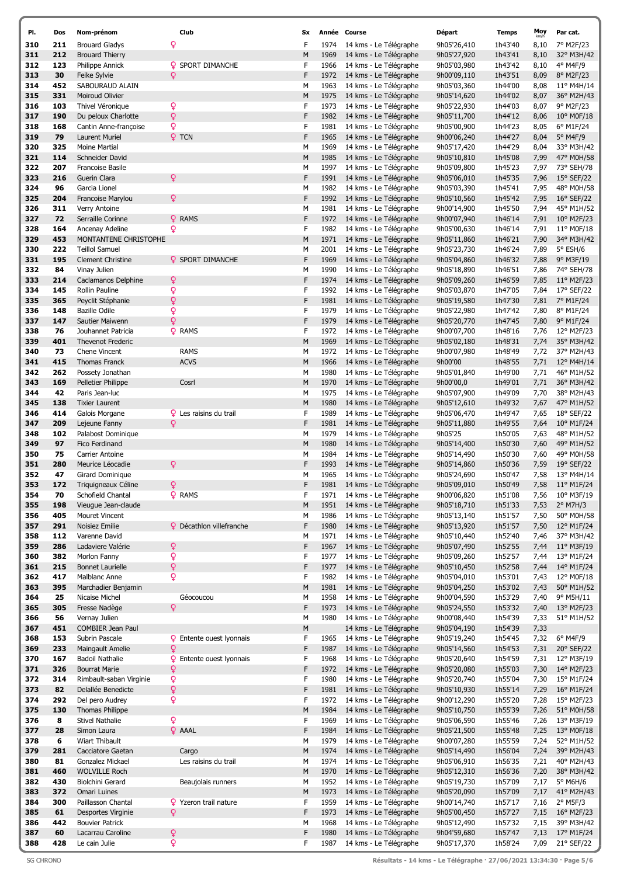| PI.        | Dos      | Nom-prénom                        | Club                            | Sx     |              | Année Course                                     | Départ                     | <b>Temps</b>       | Moy          | Par cat.                 |
|------------|----------|-----------------------------------|---------------------------------|--------|--------------|--------------------------------------------------|----------------------------|--------------------|--------------|--------------------------|
| 310        | 211      | <b>Brouard Gladys</b>             | Q                               | F      | 1974         | 14 kms - Le Télégraphe                           | 9h05'26,410                | 1h43'40            | 8,10         | 7° M2F/23                |
| 311        | 212      | <b>Brouard Thierry</b>            |                                 | М      | 1969         | 14 kms - Le Télégraphe                           | 9h05'27,920                | 1h43'41            | 8,10         | 32° M3H/42               |
| 312        | 123      | Philippe Annick                   | <b>Q</b> SPORT DIMANCHE         | F      | 1966         | 14 kms - Le Télégraphe                           | 9h05'03,980                | 1h43'42            | 8,10         | 4° M4F/9                 |
| 313        | 30       | Feike Sylvie                      | Q                               | F      | 1972         | 14 kms - Le Télégraphe                           | 9h00'09,110                | 1h43'51            | 8,09         | 8° M2F/23                |
| 314        | 452      | SABOURAUD ALAIN                   |                                 | М      | 1963         | 14 kms - Le Télégraphe                           | 9h05'03,360                | 1h44'00            | 8,08         | 11° M4H/14               |
| 315        | 331      | <b>Moiroud Olivier</b>            |                                 | М      | 1975         | 14 kms - Le Télégraphe                           | 9h05'14,620                | 1h44'02            | 8,07         | 36° M2H/43               |
| 316        | 103      | Thivel Véronique                  | Q                               | F      | 1973         | 14 kms - Le Télégraphe                           | 9h05'22,930                | 1h44'03            | 8,07         | 9° M2F/23                |
| 317        | 190      | Du peloux Charlotte               | Q                               | F      | 1982         | 14 kms - Le Télégraphe                           | 9h05'11,700                | 1h44'12            | 8,06         | 10° M0F/18               |
| 318        | 168      | Cantin Anne-françoise             | ò                               | F      | 1981         | 14 kms - Le Télégraphe                           | 9h05'00,900                | 1h44'23            | 8,05         | 6° M1F/24                |
| 319        | 79       | Laurent Muriel                    | <b>Q</b> TCN                    | F      | 1965         | 14 kms - Le Télégraphe                           | 9h00'06,240                | 1h44'27            | 8,04         | 5° M4F/9                 |
| 320        | 325      | Moine Martial                     |                                 | M      | 1969         | 14 kms - Le Télégraphe                           | 9h05'17,420                | 1h44'29            | 8,04         | 33° M3H/42               |
| 321        | 114      | Schneider David                   |                                 | М      | 1985         | 14 kms - Le Télégraphe                           | 9h05'10,810                | 1h45'08            | 7,99         | 47° M0H/58               |
| 322        | 207      | <b>Francoise Basile</b>           |                                 | М      | 1997         | 14 kms - Le Télégraphe                           | 9h05'09,800                | 1h45'23            | 7,97         | 73° SEH/78               |
| 323        | 216      | Guerin Clara                      | Q                               | F      | 1991         | 14 kms - Le Télégraphe                           | 9h05'06,010                | 1h45'35            | 7,96         | 15° SEF/22               |
| 324        | 96       | Garcia Lionel                     |                                 | М      | 1982         | 14 kms - Le Télégraphe                           | 9h05'03,390                | 1h45'41            | 7,95         | 48° M0H/58               |
| 325        | 204      | Francoise Marylou                 | Q                               | F      | 1992         | 14 kms - Le Télégraphe                           | 9h05'10,560                | 1h45'42            | 7,95         | $16^{\circ}$ SEF/22      |
| 326        | 311      | Verry Antoine                     |                                 | M      | 1981         | 14 kms - Le Télégraphe                           | 9h00'14,900                | 1h45'50            | 7,94         | 45° M1H/52               |
| 327        | 72       | Serraille Corinne                 | <b>Q</b> RAMS                   | F      | 1972         | 14 kms - Le Télégraphe                           | 9h00'07,940                | 1h46'14            | 7,91         | 10° M2F/23               |
| 328        | 164      | Ancenay Adeline                   | Q                               | F      | 1982         | 14 kms - Le Télégraphe                           | 9h05'00,630                | 1h46'14            | 7,91         | 11° M0F/18               |
| 329        | 453      | MONTANTENE CHRISTOPHE             |                                 | M      | 1971         | 14 kms - Le Télégraphe                           | 9h05'11,860                | 1h46'21            | 7,90         | 34° M3H/42               |
| 330        | 222      | <b>Teillol Samuel</b>             |                                 | М      | 2001         | 14 kms - Le Télégraphe                           | 9h05'23,730                | 1h46'24            | 7,89         | $5^{\circ}$ ESH/6        |
| 331        | 195      | <b>Clement Christine</b>          | <b>Q</b> SPORT DIMANCHE         | F      | 1969         | 14 kms - Le Télégraphe                           | 9h05'04,860                | 1h46'32            | 7,88         | 9° M3F/19                |
| 332        | 84       | Vinay Julien                      |                                 | М      | 1990         | 14 kms - Le Télégraphe                           | 9h05'18,890                | 1h46'51            | 7,86         | 74° SEH/78               |
| 333        | 214      | Caclamanos Delphine               | Q                               | F      | 1974         | 14 kms - Le Télégraphe                           | 9h05'09,260                | 1h46'59            | 7,85         | 11° M2F/23               |
| 334        | 145      | Rollin Pauline                    | Q                               | F      | 1992         | 14 kms - Le Télégraphe                           | 9h05'03,870                | 1h47'05            | 7,84         | 17° SEF/22               |
| 335        | 365      | Peyclit Stéphanie                 | Q                               | F      | 1981         | 14 kms - Le Télégraphe                           | 9h05'19,580                | 1h47'30            | 7,81         | 7º M1F/24                |
| 336        | 148      | <b>Bazille Odile</b>              | Q                               | F      | 1979         | 14 kms - Le Télégraphe                           | 9h05'22,980                | 1h47'42            | 7,80         | 8° M1F/24                |
| 337        | 147      | Sautier Maiwenn                   | $\mathsf Q$                     | F      | 1979         | 14 kms - Le Télégraphe                           | 9h05'20,770                | 1h47'45            | 7,80         | 9° M1F/24                |
| 338        | 76       | Jouhannet Patricia                | <b>Q</b> RAMS                   | F      | 1972         | 14 kms - Le Télégraphe                           | 9h00'07,700                | 1h48'16            | 7,76         | 12° M2F/23               |
| 339        | 401      | <b>Thevenot Frederic</b>          |                                 | M      | 1969         | 14 kms - Le Télégraphe                           | 9h05'02,180                | 1h48'31            | 7,74         | 35° M3H/42               |
| 340        | 73       | Chene Vincent                     | <b>RAMS</b>                     | М      | 1972         | 14 kms - Le Télégraphe                           | 9h00'07,980                | 1h48'49            | 7,72         | 37° M2H/43               |
| 341        | 415      | <b>Thomas Franck</b>              | <b>ACVS</b>                     | М      | 1966         | 14 kms - Le Télégraphe                           | 9h00'00                    | 1h48'55            | 7,71         | 12° M4H/14               |
| 342        | 262      | Possety Jonathan                  |                                 | М      | 1980         | 14 kms - Le Télégraphe                           | 9h05'01,840                | 1h49'00            | 7,71         | 46° M1H/52               |
| 343        | 169      | Pelletier Philippe                | Cosrl                           | M      | 1970         | 14 kms - Le Télégraphe                           | 9h00'00,0                  | 1h49'01            | 7,71         | 36° M3H/42               |
| 344        | 42       | Paris Jean-luc                    |                                 | М      | 1975         | 14 kms - Le Télégraphe                           | 9h05'07,900                | 1h49'09            | 7,70         | 38° M2H/43               |
| 345        | 138      | <b>Tixier Laurent</b>             |                                 | M      | 1980         | 14 kms - Le Télégraphe                           | 9h05'12,610                | 1h49'32            | 7,67         | 47° M1H/52               |
| 346        | 414      | Galois Morgane                    | <b>Q</b> Les raisins du trail   | F      | 1989         | 14 kms - Le Télégraphe                           | 9h05'06,470                | 1h49'47            | 7,65         | 18° SEF/22               |
| 347        | 209      | Lejeune Fanny                     | Q                               | F<br>M | 1981         | 14 kms - Le Télégraphe                           | 9h05'11,880                | 1h49'55            | 7,64         | 10° M1F/24               |
| 348        | 102      | Palabost Dominique                |                                 | М      | 1979<br>1980 | 14 kms - Le Télégraphe<br>14 kms - Le Télégraphe | 9h05'25<br>9h05'14,400     | 1h50'05            | 7,63         | 48° M1H/52<br>49° M1H/52 |
| 349        | 97<br>75 | Fico Ferdinand<br>Carrier Antoine |                                 | М      | 1984         | 14 kms - Le Télégraphe                           | 9h05'14,490                | 1h50'30<br>1h50'30 | 7,60         |                          |
| 350<br>351 | 280      | Meurice Léocadie                  |                                 | F      | 1993         |                                                  |                            | 1h50'36            | 7,60         | 49° M0H/58               |
| 352        | 47       | Girard Dominique                  | ¥                               | M      | 1965         | 14 kms - Le Télégraphe<br>14 kms - Le Télégraphe | 9h05'14,860<br>9h05'24,690 | 1h50'47            | 7,59<br>7,58 | 19° SEF/22<br>13° M4H/14 |
| 353        | 172      | Triquigneaux Céline               | Q                               | F      | 1981         | 14 kms - Le Télégraphe                           | 9h05'09,010                | 1h50'49            | 7,58         | 11° M1F/24               |
| 354        | 70       | Schofield Chantal                 | <b>Q</b> RAMS                   | F      | 1971         | 14 kms - Le Télégraphe                           | 9h00'06,820                | 1h51'08            | 7,56         | 10° M3F/19               |
| 355        | 198      | Vieugue Jean-claude               |                                 | M      | 1951         | 14 kms - Le Télégraphe                           | 9h05'18,710                | 1h51'33            | 7,53         | $2°$ M7H/3               |
| 356        | 405      | Mouret Vincent                    |                                 | М      | 1986         | 14 kms - Le Télégraphe                           | 9h05'13,140                | 1h51'57            | 7,50         | 50° M0H/58               |
| 357        | 291      | Noisiez Emilie                    | <b>Q</b> Décathlon villefranche | F      | 1980         | 14 kms - Le Télégraphe                           | 9h05'13,920                | 1h51'57            | 7,50         | 12° M1F/24               |
| 358        | 112      | Varenne David                     |                                 | м      | 1971         | 14 kms - Le Télégraphe                           | 9h05'10,440                | 1h52'40            | 7,46         | 37° M3H/42               |
| 359        | 286      | Ladaviere Valérie                 | Q                               | F      | 1967         | 14 kms - Le Télégraphe                           | 9h05'07,490                | 1h52'55            | 7,44         | 11° M3F/19               |
| 360        | 382      | Morlon Fanny                      | Q                               | F      | 1977         | 14 kms - Le Télégraphe                           | 9h05'09,260                | 1h52'57            | 7,44         | 13° M1F/24               |
| 361        | 215      | <b>Bonnet Laurielle</b>           | Q                               | F      | 1977         | 14 kms - Le Télégraphe                           | 9h05'10,450                | 1h52'58            | 7,44         | 14° M1F/24               |
| 362        | 417      | Malblanc Anne                     | Q                               | F      | 1982         | 14 kms - Le Télégraphe                           | 9h05'04,010                | 1h53'01            | 7,43         | 12° M0F/18               |
| 363        | 395      | Marchadier Benjamin               |                                 | M      | 1981         | 14 kms - Le Télégraphe                           | 9h05'04,250                | 1h53'02            | 7,43         | 50° M1H/52               |
| 364        | 25       | Nicaise Michel                    | Géocoucou                       | М      | 1958         | 14 kms - Le Télégraphe                           | 9h00'04,590                | 1h53'29            | 7,40         | 9° M5H/11                |
| 365        | 305      | Fresse Nadège                     | $\mathsf{Q}$                    | F      | 1973         | 14 kms - Le Télégraphe                           | 9h05'24,550                | 1h53'32            | 7,40         | 13° M2F/23               |
| 366        | 56       | Vernay Julien                     |                                 | M      | 1980         | 14 kms - Le Télégraphe                           | 9h00'08,440                | 1h54'39            | 7,33         | 51° M1H/52               |
| 367        | 451      | COMBIER Jean Paul                 |                                 | М      |              | 14 kms - Le Télégraphe                           | 9h05'04,190                | 1h54'39            | 7,33         |                          |
| 368        | 153      | Subrin Pascale                    | <b>Q</b> Entente ouest lyonnais | F      | 1965         | 14 kms - Le Télégraphe                           | 9h05'19,240                | 1h54'45            | 7,32         | 6° M4F/9                 |
| 369        | 233      | Maingault Amelie                  | Q                               | F      | 1987         | 14 kms - Le Télégraphe                           | 9h05'14,560                | 1h54'53            | 7,31         | 20° SEF/22               |
| 370        | 167      | <b>Badoil Nathalie</b>            | Q<br>Entente ouest lyonnais     | F      | 1968         | 14 kms - Le Télégraphe                           | 9h05'20,640                | 1h54'59            | 7,31         | 12° M3F/19               |
| 371        | 326      | <b>Bourrat Marie</b>              | $\boldsymbol{\mathsf{Q}}$       | F      | 1972         | 14 kms - Le Télégraphe                           | 9h05'20,080                | 1h55'03            | 7,30         | 14° M2F/23               |
| 372        | 314      | Rimbault-saban Virginie           | Q                               | F      | 1980         | 14 kms - Le Télégraphe                           | 9h05'20,740                | 1h55'04            | 7,30         | 15° M1F/24               |
| 373        | 82       | Delallée Benedicte                | $\mathsf{Q}$                    | F      | 1981         | 14 kms - Le Télégraphe                           | 9h05'10,930                | 1h55'14            | 7,29         | 16° M1F/24               |
| 374        | 292      | Del pero Audrey                   | Q                               | F      | 1972         | 14 kms - Le Télégraphe                           | 9h00'12,290                | 1h55'20            | 7,28         | 15° M2F/23               |
| 375        | 130      | Thomas Philippe                   |                                 | M      | 1984         | 14 kms - Le Télégraphe                           | 9h05'10,750                | 1h55'39            | 7,26         | 51° M0H/58               |
| 376        | 8        | <b>Stivel Nathalie</b>            | $\overline{Q}$                  | F      | 1969         | 14 kms - Le Télégraphe                           | 9h05'06,590                | 1h55'46            | 7,26         | 13° M3F/19               |
| 377        | 28       | Simon Laura                       | <b>Q</b> AAAL                   | F      | 1984         | 14 kms - Le Télégraphe                           | 9h05'21,500                | 1h55'48            | 7,25         | 13° M0F/18               |
| 378        | 6        | Wiart Thibault                    |                                 | М      | 1979         | 14 kms - Le Télégraphe                           | 9h00'07,280                | 1h55'59            | 7,24         | 52° M1H/52               |
| 379        | 281      | Cacciatore Gaetan                 | Cargo                           | M      | 1974         | 14 kms - Le Télégraphe                           | 9h05'14,490                | 1h56'04            | 7,24         | 39° M2H/43               |
| 380        | 81       | Gonzalez Mickael                  | Les raisins du trail            | М      | 1974         | 14 kms - Le Télégraphe                           | 9h05'06,910                | 1h56'35            | 7,21         | 40° M2H/43               |
| 381        | 460      | <b>WOLVILLE Roch</b>              |                                 | М      | 1970         | 14 kms - Le Télégraphe                           | 9h05'12,310                | 1h56'36            | 7,20         | 38° M3H/42               |
| 382        | 430      | Biolchini Gerard                  | Beaujolais runners              | М      | 1952         | 14 kms - Le Télégraphe                           | 9h05'19,730                | 1h57'09            | 7,17         | $5^\circ$ M6H/6          |
| 383        | 372      | Omari Luines                      |                                 | М      | 1973         | 14 kms - Le Télégraphe                           | 9h05'20,090                | 1h57'09            | 7,17         | 41° M2H/43               |
| 384        | 300      | Paillasson Chantal                | <b>Q</b> Yzeron trail nature    | F      | 1959         | 14 kms - Le Télégraphe                           | 9h00'14,740                | 1h57'17            | 7,16         | $2°$ M5F/3               |
| 385        | 61       | Desportes Virginie                | Q                               | F      | 1973         | 14 kms - Le Télégraphe                           | 9h05'00,450                | 1h57'27            | 7,15         | 16° M2F/23               |
| 386        | 442      | <b>Bouvier Patrick</b>            |                                 | м      | 1968         | 14 kms - Le Télégraphe                           | 9h05'12,490                | 1h57'32            | 7,15         | 39° M3H/42               |
| 387        | 60       | Lacarrau Caroline                 | Q                               | F      | 1980         | 14 kms - Le Télégraphe                           | 9h04'59,680                | 1h57'47            | 7,13         | 17° M1F/24               |
| 388        | 428      | Le cain Julie                     | Q                               | F      | 1987         | 14 kms - Le Télégraphe                           | 9h05'17,370                | 1h58'24            | 7,09         | 21° SEF/22               |

SG CHRONO Résultats - 14 kms - Le Télégraphe · 27/06/2021 13:34:30 · Page 5/6